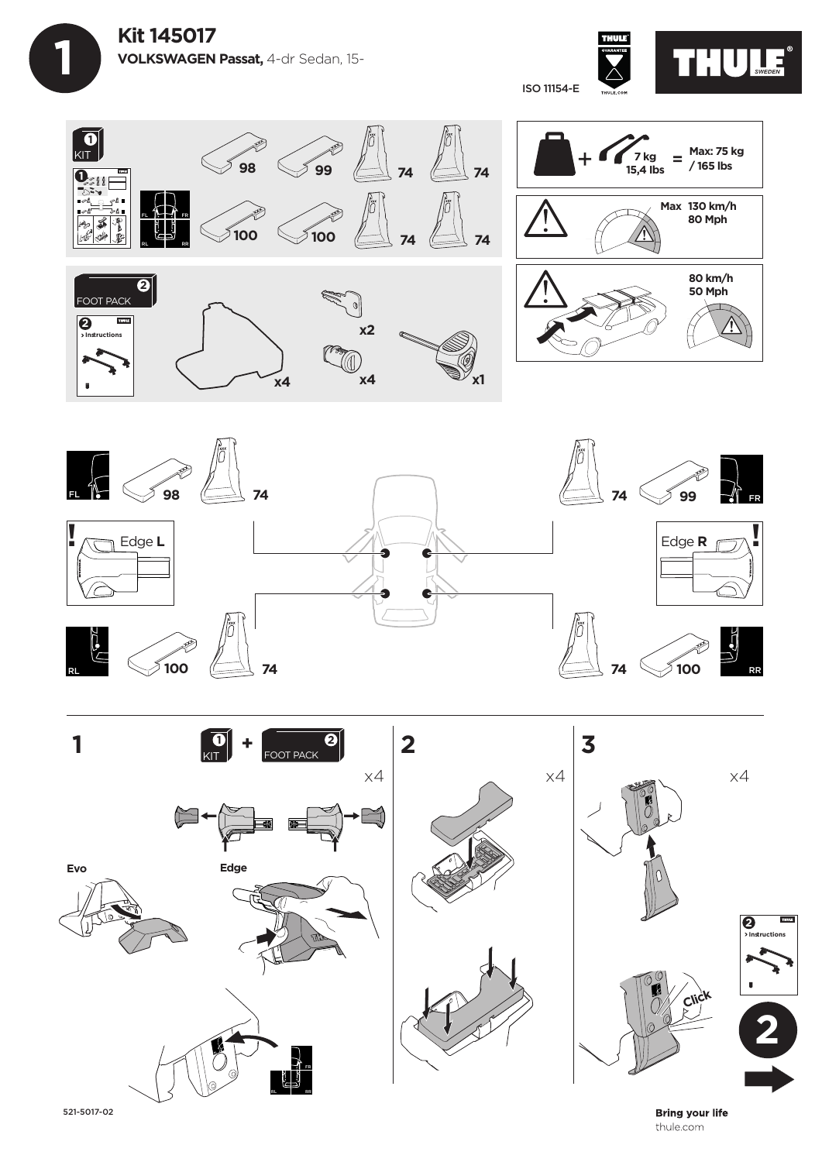









521-5017-02

**Bring your life** thule.com